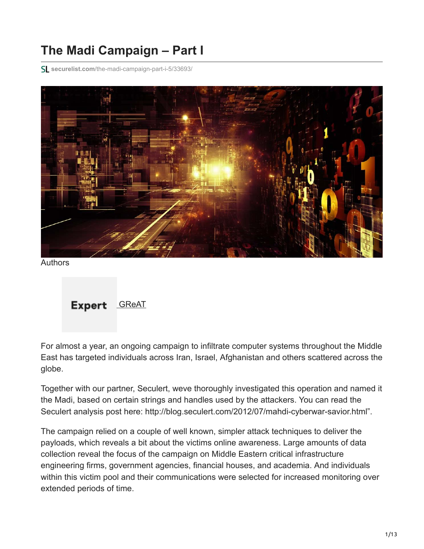# **The Madi Campaign – Part I**

**securelist.com**[/the-madi-campaign-part-i-5/33693/](https://securelist.com/the-madi-campaign-part-i-5/33693/)



Authors



For almost a year, an ongoing campaign to infiltrate computer systems throughout the Middle East has targeted individuals across Iran, Israel, Afghanistan and others scattered across the globe.

Together with our partner, Seculert, weve thoroughly investigated this operation and named it the Madi, based on certain strings and handles used by the attackers. You can read the Seculert analysis post here: http://blog.seculert.com/2012/07/mahdi-cyberwar-savior.html".

The campaign relied on a couple of well known, simpler attack techniques to deliver the payloads, which reveals a bit about the victims online awareness. Large amounts of data collection reveal the focus of the campaign on Middle Eastern critical infrastructure engineering firms, government agencies, financial houses, and academia. And individuals within this victim pool and their communications were selected for increased monitoring over extended periods of time.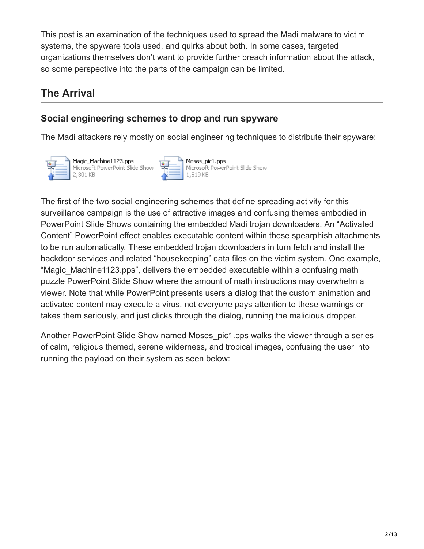This post is an examination of the techniques used to spread the Madi malware to victim systems, the spyware tools used, and quirks about both. In some cases, targeted organizations themselves don't want to provide further breach information about the attack, so some perspective into the parts of the campaign can be limited.

## **The Arrival**

## **Social engineering schemes to drop and run spyware**

The Madi attackers rely mostly on social engineering techniques to distribute their spyware:



Magic\_Machine1123.pps Microsoft PowerPoint Slide Shov 2,301 KB

Moses\_pic1.pps Microsoft PowerPoint Slide Show 1,519 KB

The first of the two social engineering schemes that define spreading activity for this surveillance campaign is the use of attractive images and confusing themes embodied in PowerPoint Slide Shows containing the embedded Madi trojan downloaders. An "Activated Content" PowerPoint effect enables executable content within these spearphish attachments to be run automatically. These embedded trojan downloaders in turn fetch and install the backdoor services and related "housekeeping" data files on the victim system. One example, "Magic Machine1123.pps", delivers the embedded executable within a confusing math puzzle PowerPoint Slide Show where the amount of math instructions may overwhelm a viewer. Note that while PowerPoint presents users a dialog that the custom animation and activated content may execute a virus, not everyone pays attention to these warnings or takes them seriously, and just clicks through the dialog, running the malicious dropper.

Another PowerPoint Slide Show named Moses\_pic1.pps walks the viewer through a series of calm, religious themed, serene wilderness, and tropical images, confusing the user into running the payload on their system as seen below: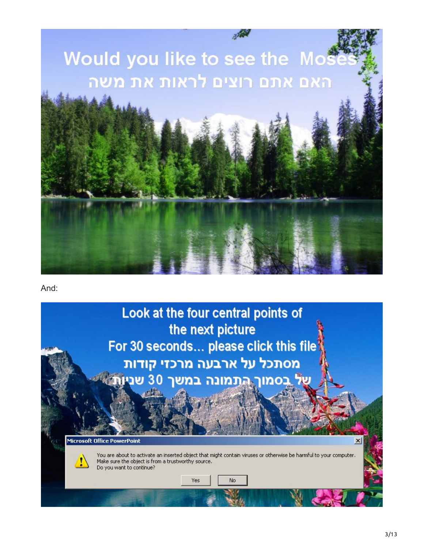

And:

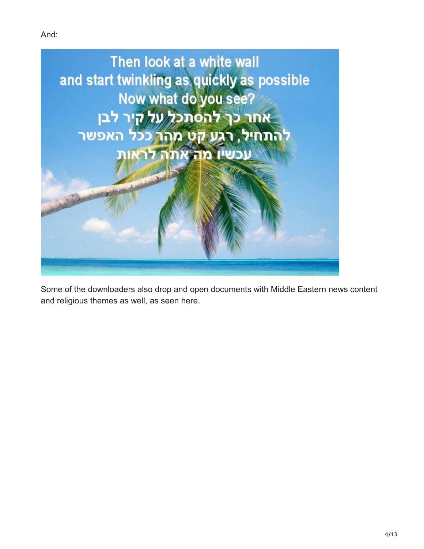And:



Some of the downloaders also drop and open documents with Middle Eastern news content and religious themes as well, as seen here.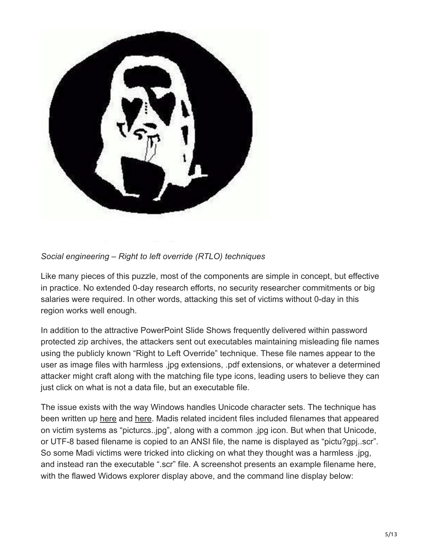

### *Social engineering – Right to left override (RTLO) techniques*

Like many pieces of this puzzle, most of the components are simple in concept, but effective in practice. No extended 0-day research efforts, no security researcher commitments or big salaries were required. In other words, attacking this set of victims without 0-day in this region works well enough.

In addition to the attractive PowerPoint Slide Shows frequently delivered within password protected zip archives, the attackers sent out executables maintaining misleading file names using the publicly known "Right to Left Override" technique. These file names appear to the user as image files with harmless .jpg extensions, .pdf extensions, or whatever a determined attacker might craft along with the matching file type icons, leading users to believe they can just click on what is not a data file, but an executable file.

The issue exists with the way Windows handles Unicode character sets. The technique has been written up [here](http://blog.relentless-coding.org/2011/10/social-engineering-with-unicode.html) and [here](http://krebsonsecurity.com/2011/09/right-to-left-override-aids-email-attacks/). Madis related incident files included filenames that appeared on victim systems as "picturcs..jpg", along with a common .jpg icon. But when that Unicode, or UTF-8 based filename is copied to an ANSI file, the name is displayed as "pictu?gpj..scr". So some Madi victims were tricked into clicking on what they thought was a harmless .jpg, and instead ran the executable ".scr" file. A screenshot presents an example filename here, with the flawed Widows explorer display above, and the command line display below: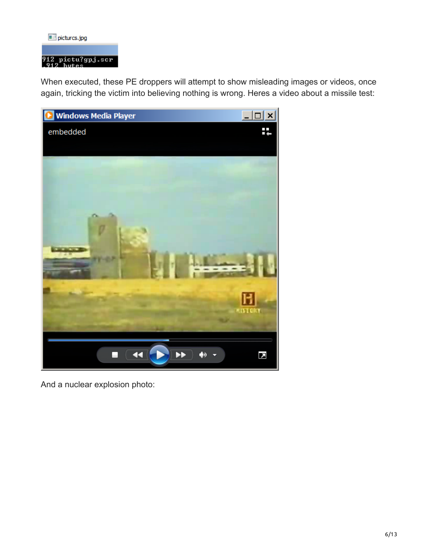#### picturcs.jpg

## 912 pictu?gpj.scr<br>912 butes

When executed, these PE droppers will attempt to show misleading images or videos, once again, tricking the victim into believing nothing is wrong. Heres a video about a missile test:



And a nuclear explosion photo: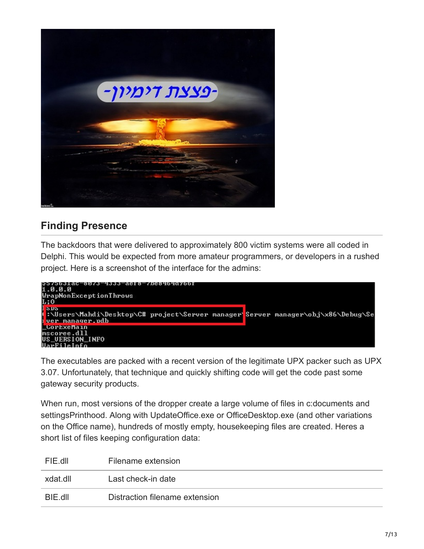

## **Finding Presence**

The backdoors that were delivered to approximately 800 victim systems were all coded in Delphi. This would be expected from more amateur programmers, or developers in a rushed project. Here is a screenshot of the interface for the admins:



The executables are packed with a recent version of the legitimate UPX packer such as UPX 3.07. Unfortunately, that technique and quickly shifting code will get the code past some gateway security products.

When run, most versions of the dropper create a large volume of files in c:documents and settingsPrinthood. Along with UpdateOffice.exe or OfficeDesktop.exe (and other variations on the Office name), hundreds of mostly empty, housekeeping files are created. Heres a short list of files keeping configuration data:

| FIE dIL  | Filename extension             |
|----------|--------------------------------|
| xdat.dll | Last check-in date             |
| BIE.dll  | Distraction filename extension |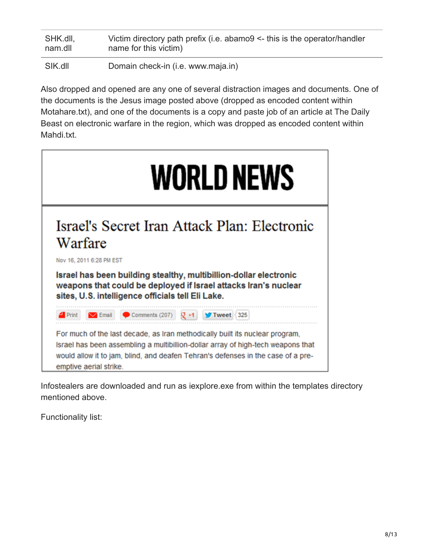| SHK.dll, | Victim directory path prefix (i.e. $abamo9 \leq this$ is the operator/handler |
|----------|-------------------------------------------------------------------------------|
| nam.dll  | name for this victim)                                                         |
| SIK.dll  | Domain check-in (i.e. www.maja.in)                                            |

Also dropped and opened are any one of several distraction images and documents. One of the documents is the Jesus image posted above (dropped as encoded content within Motahare.txt), and one of the documents is a copy and paste job of an article at The Daily Beast on electronic warfare in the region, which was dropped as encoded content within Mahdi.txt.



Infostealers are downloaded and run as iexplore.exe from within the templates directory mentioned above.

Functionality list: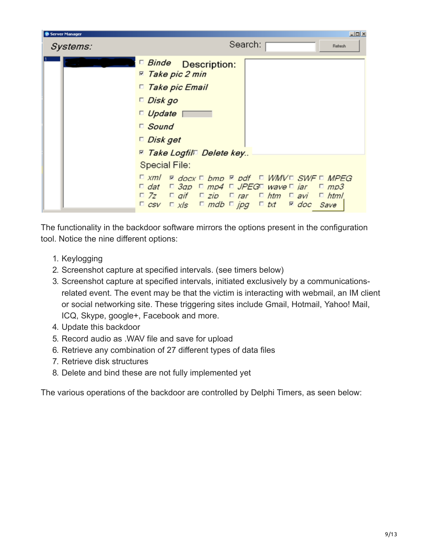| Server Manager | $\Box$                                                                                                                                                                                                                                                                                                                                                                                                 |
|----------------|--------------------------------------------------------------------------------------------------------------------------------------------------------------------------------------------------------------------------------------------------------------------------------------------------------------------------------------------------------------------------------------------------------|
| Systems:       | Search:<br>Refresh                                                                                                                                                                                                                                                                                                                                                                                     |
|                | <b>E</b> Binde Description:<br><b>□ Take pic 2 min</b><br>□ Take pic Email<br>Disk go<br>$\Box$ Update $\Box$<br>$\Box$ Sound<br>$\Box$ Disk get<br><b><sup>™</sup> Take Logfil<sup>™</sup> Delete key</b><br><b>Special File:</b><br>$\Box$ xml $\Box$ docx $\Box$ bmp $\Box$ pdf $\Box$ WMV $\Box$ SWF $\Box$ MPEG<br>$\Box$ dat $\Box$ 3ap $\Box$ mp4 $\Box$ JPEG $\Box$ wave $\Box$ jar $\Box$ mp3 |
|                | $\Box$ 7z $\Box$ gif $\Box$ zip $\Box$ rar $\Box$ htm $\Box$ avi $\Box$ html                                                                                                                                                                                                                                                                                                                           |
|                | $\Box$ csv $\Box$ x/s $\Box$ mdb $\Box$ jpg $\Box$ txt $\Box$ doc Save                                                                                                                                                                                                                                                                                                                                 |

The functionality in the backdoor software mirrors the options present in the configuration tool. Notice the nine different options:

- 1. Keylogging
- 2. Screenshot capture at specified intervals. (see timers below)
- 3. Screenshot capture at specified intervals, initiated exclusively by a communicationsrelated event. The event may be that the victim is interacting with webmail, an IM client or social networking site. These triggering sites include Gmail, Hotmail, Yahoo! Mail, ICQ, Skype, google+, Facebook and more.
- 4. Update this backdoor
- 5. Record audio as .WAV file and save for upload
- 6. Retrieve any combination of 27 different types of data files
- 7. Retrieve disk structures
- 8. Delete and bind these are not fully implemented yet

The various operations of the backdoor are controlled by Delphi Timers, as seen below: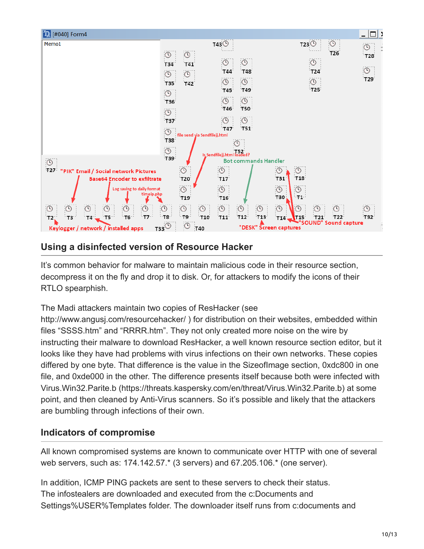

### **Using a disinfected version of Resource Hacker**

It's common behavior for malware to maintain malicious code in their resource section, decompress it on the fly and drop it to disk. Or, for attackers to modify the icons of their RTLO spearphish.

The Madi attackers maintain two copies of ResHacker (see

http://www.angusj.com/resourcehacker/ ) for distribution on their websites, embedded within files "SSSS.htm" and "RRRR.htm". They not only created more noise on the wire by instructing their malware to download ResHacker, a well known resource section editor, but it looks like they have had problems with virus infections on their own networks. These copies differed by one byte. That difference is the value in the SizeofImage section, 0xdc800 in one file, and 0xde000 in the other. The difference presents itself because both were infected with Virus.Win32.Parite.b (https://threats.kaspersky.com/en/threat/Virus.Win32.Parite.b) at some point, and then cleaned by Anti-Virus scanners. So it's possible and likely that the attackers are bumbling through infections of their own.

## **Indicators of compromise**

All known compromised systems are known to communicate over HTTP with one of several web servers, such as: 174.142.57.\* (3 servers) and 67.205.106.\* (one server).

In addition, ICMP PING packets are sent to these servers to check their status. The infostealers are downloaded and executed from the c:Documents and Settings%USER%Templates folder. The downloader itself runs from c:documents and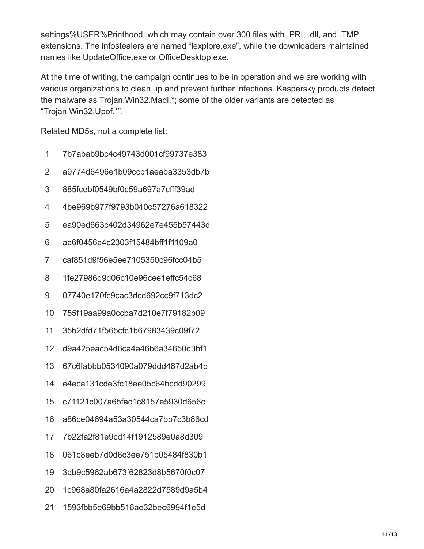settings%USER%Printhood, which may contain over 300 files with .PRI, .dll, and .TMP extensions. The infostealers are named "iexplore.exe", while the downloaders maintained names like UpdateOffice.exe or OfficeDesktop.exe.

At the time of writing, the campaign continues to be in operation and we are working with various organizations to clean up and prevent further infections. Kaspersky products detect the malware as Trojan.Win32.Madi.\*; some of the older variants are detected as "Trojan.Win32.Upof.\*".

Related MD5s, not a complete list:

- 1 7b7abab9bc4c49743d001cf99737e383
- 2 a9774d6496e1b09ccb1aeaba3353db7b
- 3 885fcebf0549bf0c59a697a7cfff39ad
- 4 4be969b977f9793b040c57276a618322
- 5 ea90ed663c402d34962e7e455b57443d
- 6 aa6f0456a4c2303f15484bff1f1109a0
- 7 caf851d9f56e5ee7105350c96fcc04b5
- 8 1fe27986d9d06c10e96cee1effc54c68
- 9 07740e170fc9cac3dcd692cc9f713dc2
- 10 755f19aa99a0ccba7d210e7f79182b09
- 11 35b2dfd71f565cfc1b67983439c09f72
- 12 d9a425eac54d6ca4a46b6a34650d3bf1
- 13 67c6fabbb0534090a079ddd487d2ab4b
- 14 e4eca131cde3fc18ee05c64bcdd90299
- 15 c71121c007a65fac1c8157e5930d656c
- 16 a86ce04694a53a30544ca7bb7c3b86cd
- 17 7b22fa2f81e9cd14f1912589e0a8d309
- 18 061c8eeb7d0d6c3ee751b05484f830b1
- 19 3ab9c5962ab673f62823d8b5670f0c07
- 20 1c968a80fa2616a4a2822d7589d9a5b4
- 21 1593fbb5e69bb516ae32bec6994f1e5d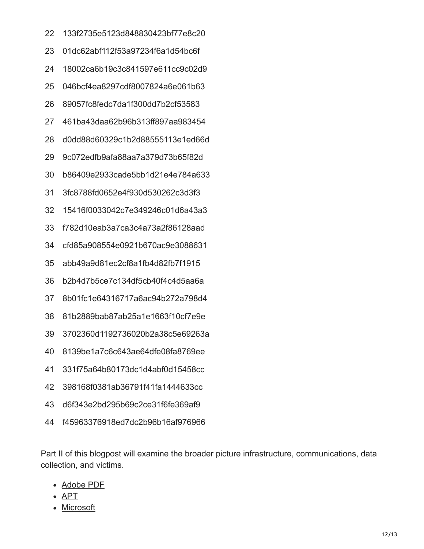- 133f2735e5123d848830423bf77e8c20
- 01dc62abf112f53a97234f6a1d54bc6f
- 18002ca6b19c3c841597e611cc9c02d9
- 046bcf4ea8297cdf8007824a6e061b63
- 89057fc8fedc7da1f300dd7b2cf53583
- 461ba43daa62b96b313ff897aa983454
- d0dd88d60329c1b2d88555113e1ed66d
- 9c072edfb9afa88aa7a379d73b65f82d
- b86409e2933cade5bb1d21e4e784a633
- 3fc8788fd0652e4f930d530262c3d3f3
- 15416f0033042c7e349246c01d6a43a3
- f782d10eab3a7ca3c4a73a2f86128aad
- cfd85a908554e0921b670ac9e3088631
- abb49a9d81ec2cf8a1fb4d82fb7f1915
- b2b4d7b5ce7c134df5cb40f4c4d5aa6a
- 8b01fc1e64316717a6ac94b272a798d4
- 81b2889bab87ab25a1e1663f10cf7e9e
- 3702360d1192736020b2a38c5e69263a
- 8139be1a7c6c643ae64dfe08fa8769ee
- 331f75a64b80173dc1d4abf0d15458cc
- 398168f0381ab36791f41fa1444633cc
- d6f343e2bd295b69c2ce31f6fe369af9
- f45963376918ed7dc2b96b16af976966

Part II of this blogpost will examine the broader picture infrastructure, communications, data collection, and victims.

- [Adobe PDF](https://securelist.com/tag/adobe-pdf/)
- [APT](https://securelist.com/tag/apt/)
- [Microsoft](https://securelist.com/tag/microsoft/)